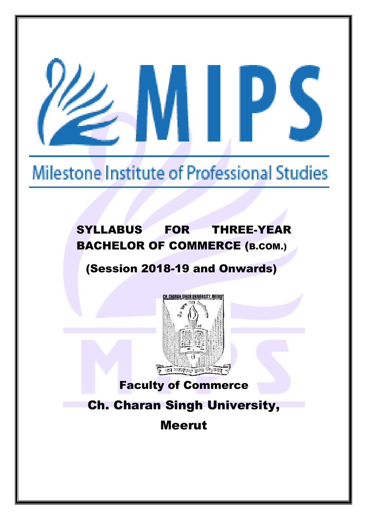# Milestone Institute of Professional Studies

# SYLLABUS FOR THREE-YEAR BACHELOR OF COMMERCE (B.COM.)

# (Session 2018-19 and Onwards)



# Faculty of Commerce

# Ch. Charan Singh University,

Meerut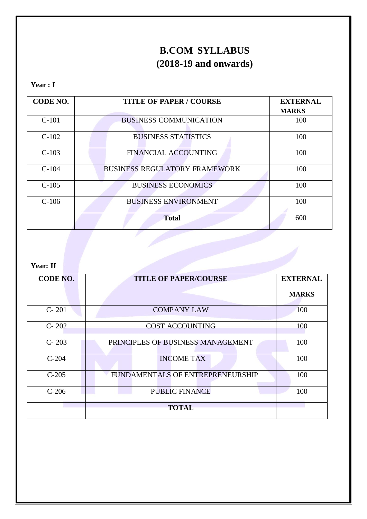# **B.COM SYLLABUS (2018-19 and onwards)**

# **Year : I**

| <b>CODE NO.</b> | <b>TITLE OF PAPER / COURSE</b>       | <b>EXTERNAL</b> |
|-----------------|--------------------------------------|-----------------|
|                 |                                      | <b>MARKS</b>    |
| $C-101$         | <b>BUSINESS COMMUNICATION</b>        | 100             |
| $C-102$         | <b>BUSINESS STATISTICS</b>           | 100             |
| $C-103$         | <b>FINANCIAL ACCOUNTING</b>          | 100             |
| $C-104$         | <b>BUSINESS REGULATORY FRAMEWORK</b> | 100             |
| $C-105$         | <b>BUSINESS ECONOMICS</b>            | 100             |
| $C-106$         | <b>BUSINESS ENVIRONMENT</b>          | 100             |
|                 | <b>Total</b>                         | 600             |

# **Year: II**

| CODE NO.  | <b>TITLE OF PAPER/COURSE</b>      | <b>EXTERNAL</b> |
|-----------|-----------------------------------|-----------------|
|           |                                   | <b>MARKS</b>    |
| $C - 201$ | <b>COMPANY LAW</b>                | 100             |
| $C - 202$ | <b>COST ACCOUNTING</b>            | 100             |
| $C - 203$ | PRINCIPLES OF BUSINESS MANAGEMENT | 100             |
| $C-204$   | <b>INCOME TAX</b>                 | 100             |
| $C-205$   | FUNDAMENTALS OF ENTREPRENEURSHIP  | 100             |
| $C-206$   | <b>PUBLIC FINANCE</b>             | 100             |
|           | <b>TOTAL</b>                      |                 |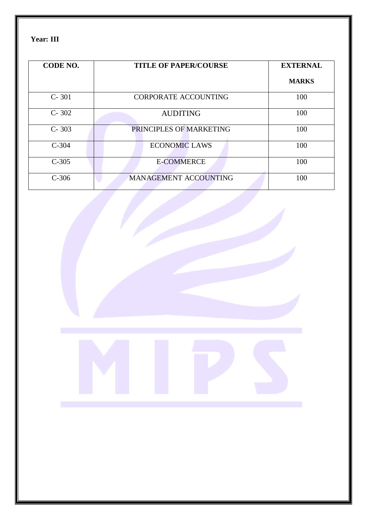**Year: III**

| <b>CODE NO.</b> | <b>TITLE OF PAPER/COURSE</b> | <b>EXTERNAL</b> |
|-----------------|------------------------------|-----------------|
|                 |                              | <b>MARKS</b>    |
| $C - 301$       | <b>CORPORATE ACCOUNTING</b>  | 100             |
| $C - 302$       | <b>AUDITING</b>              | 100             |
| $C - 303$       | PRINCIPLES OF MARKETING      | 100             |
| $C-304$         | <b>ECONOMIC LAWS</b>         | 100             |
| $C-305$         | <b>E-COMMERCE</b>            | 100             |
| $C-306$         | MANAGEMENT ACCOUNTING        | 100             |

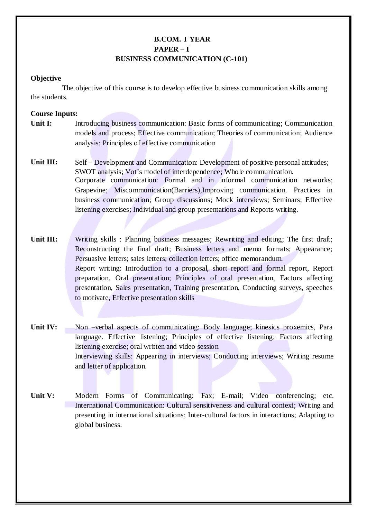# **B.COM. I YEAR PAPER – I BUSINESS COMMUNICATION (C-101)**

### **Objective**

The objective of this course is to develop effective business communication skills among the students.

- **Unit I:** Introducing business communication: Basic forms of communicating; Communication models and process; Effective communication; Theories of communication; Audience analysis; Principles of effective communication
- **Unit III:** Self – Development and Communication: Development of positive personal attitudes; SWOT analysis; Vot's model of interdependence; Whole communication. Corporate communication: Formal and in informal communication networks; Grapevine; Miscommunication(Barriers),Improving communication. Practices in business communication; Group discussions; Mock interviews; Seminars; Effective listening exercises; Individual and group presentations and Reports writing.
- **Unit III:** Writing skills : Planning business messages; Rewriting and editing; The first draft; Reconstructing the final draft; Business letters and memo formats; Appearance; Persuasive letters; sales letters; collection letters; office memorandum. Report writing: Introduction to a proposal, short report and formal report, Report preparation. Oral presentation; Principles of oral presentation, Factors affecting presentation, Sales presentation, Training presentation, Conducting surveys, speeches to motivate, Effective presentation skills
- **Unit IV:** Non –verbal aspects of communicating: Body language; kinesics proxemics, Para language. Effective listening; Principles of effective listening; Factors affecting listening exercise; oral written and video session Interviewing skills: Appearing in interviews; Conducting interviews; Writing resume and letter of application.
- **Unit V:** Modern Forms of Communicating: Fax; E-mail; Video conferencing; etc. International Communication: Cultural sensitiveness and cultural context; Writing and presenting in international situations; Inter-cultural factors in interactions; Adapting to global business.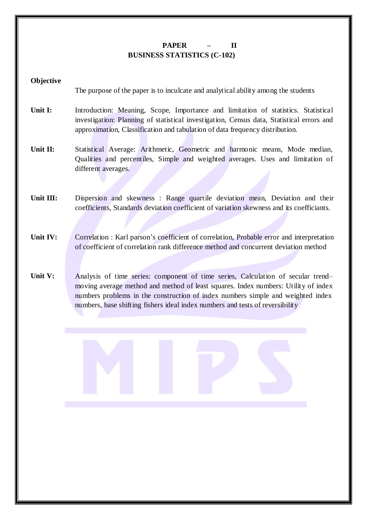# **PAPER – II BUSINESS STATISTICS (C-102)**

### **Objective**

The purpose of the paper is to inculcate and analytical ability among the students

- **Unit I:** Introduction: Meaning, Scope, Importance and limitation of statistics. Statistical investigation: Planning of statistical investigation, Census data, Statistical errors and approximation, Classification and tabulation of data frequency distribution.
- **Unit II:** Statistical Average: Arithmetic, Geometric and harmonic means, Mode median, Qualities and percentiles, Simple and weighted averages. Uses and limitation of different averages.
- **Unit III:** Dispersion and skewness : Range quartile deviation mean, Deviation and their coefficients, Standards deviation coefficient of variation skewness and its coefficiants.
- **Unit IV:** Correlation : Karl parson's coefficient of correlation, Probable error and interpretation of coefficient of correlation rank difference method and concurrent deviation method
- **Unit V:** Analysis of time series: component of time series, Calculation of secular trend– moving average method and method of least squares. Index numbers: Utility of index numbers problems in the construction of index numbers simple and weighted index numbers, base shifting fishers ideal index numbers and tests of reversibility

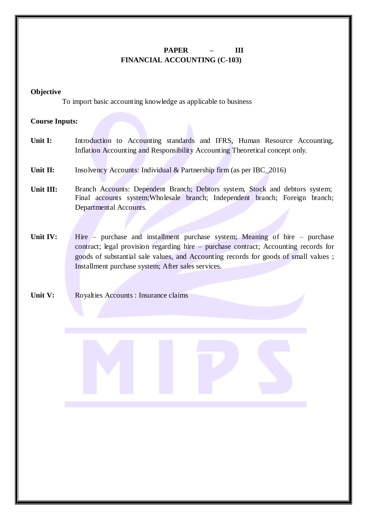# **PAPER – III FINANCIAL ACCOUNTING (C-103)**

#### **Objective**

To import basic accounting knowledge as applicable to business

- Unit I: Introduction to Accounting standards and IFRS, Human Resource Accounting, Inflation Accounting and Responsibility Accounting Theoretical concept only.
- **Unit II:** Insolvency Accounts: Individual & Partnership firm (as per IBC\_2016)
- **Unit III:** Branch Accounts: Dependent Branch; Debtors system, Stock and debtors system; Final accounts system;Wholesale branch; Independent branch; Foreign branch; Departmental Accounts.
- **Unit IV:** Hire purchase and installment purchase system; Meaning of hire purchase contract; legal provision regarding hire – purchase contract; Accounting records for goods of substantial sale values, and Accounting records for goods of small values ; Installment purchase system; After sales services.
- **Unit V:** Royalties Accounts : Insurance claims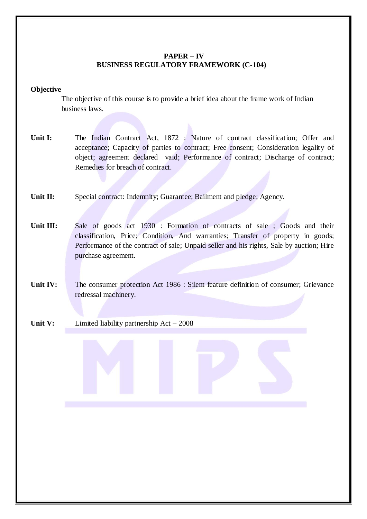### **PAPER – IV BUSINESS REGULATORY FRAMEWORK (C-104)**

#### **Objective**

The objective of this course is to provide a brief idea about the frame work of Indian business laws.

- Unit I: The Indian Contract Act, 1872 : Nature of contract classification; Offer and acceptance; Capacity of parties to contract; Free consent; Consideration legality of object; agreement declared vaid; Performance of contract; Discharge of contract; Remedies for breach of contract.
- **Unit II:** Special contract: Indemnity; Guarantee; Bailment and pledge; Agency.
- Unit **III:** Sale of goods act 1930 : Formation of contracts of sale ; Goods and their classification, Price; Condition, And warranties; Transfer of property in goods; Performance of the contract of sale; Unpaid seller and his rights, Sale by auction; Hire purchase agreement.
- **Unit IV:** The consumer protection Act 1986 : Silent feature definition of consumer; Grievance redressal machinery.
- **Unit V:** Limited liability partnership Act – 2008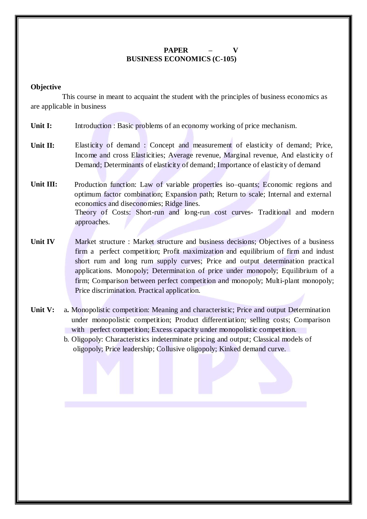# $PAPER$ **BUSINESS ECONOMICS (C-105)**

#### **Objective**

This course in meant to acquaint the student with the principles of business economics as are applicable in business

- **Unit I:** Introduction : Basic problems of an economy working of price mechanism.
- **Unit II:** Elasticity of demand : Concept and measurement of elasticity of demand; Price, Income and cross Elasticities; Average revenue, Marginal revenue, And elasticity of Demand; Determinants of elasticity of demand; Importance of elasticity of demand
- **Unit III:** Production function: Law of variable properties iso–quants; Economic regions and optimum factor combination; Expansion path; Return to scale; Internal and external economics and diseconomies; Ridge lines. Theory of Costs: Short-run and long-run cost curves- Traditional and modern approaches.
- **Unit IV** Market structure : Market structure and business decisions; Objectives of a business firm a perfect competition; Profit maximization and equilibrium of firm and indust short rum and long rum supply curves; Price and output determination practical applications. Monopoly; Determination of price under monopoly; Equilibrium of a firm; Comparison between perfect competition and monopoly; Multi-plant monopoly; Price discrimination. Practical application.
- **Unit V:** a**.** Monopolistic competition: Meaning and characteristic; Price and output Determination under monopolistic competition; Product differentiation; selling costs; Comparison with perfect competition; Excess capacity under monopolistic competition.
	- b. Oligopoly: Characteristics indeterminate pricing and output; Classical models of oligopoly; Price leadership; Collusive oligopoly; Kinked demand curve.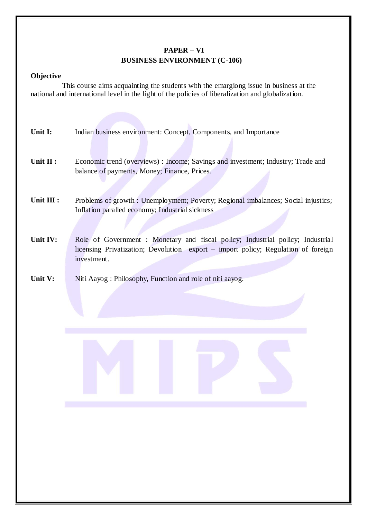# **PAPER – VI BUSINESS ENVIRONMENT (C-106)**

#### **Objective**

This course aims acquainting the students with the emargiong issue in business at the national and international level in the light of the policies of liberalization and globalization.

- **Unit I:** Indian business environment: Concept, Components, and Importance
- **Unit II :** Economic trend (overviews) : Income; Savings and investment; Industry; Trade and balance of payments, Money; Finance, Prices.
- **Unit III :** Problems of growth : Unemployment; Poverty; Regional imbalances; Social injustics; Inflation paralled economy; Industrial sickness
- Unit IV: Role of Government : Monetary and fiscal policy; Industrial policy; Industrial licensing Privatization; Devolution export – import policy; Regulation of foreign investment.
- **Unit V:** Niti Aayog : Philosophy, Function and role of niti aayog.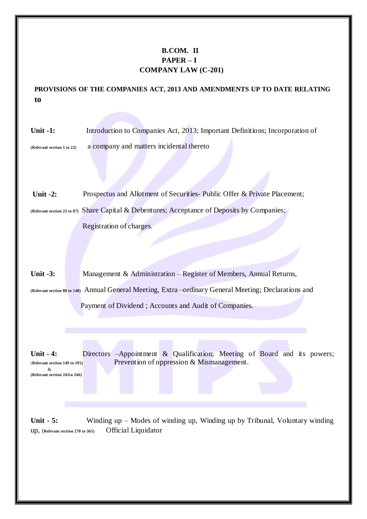# **B.COM. II PAPER – I COMPANY LAW (C-201)**

**PROVISIONS OF THE COMPANIES ACT, 2013 AND AMENDMENTS UP TO DATE RELATING to**

**Unit -1: (Relevant section 1 to 22)** Introduction to Companies Act, 2013; Important Definitions; Incorporation of a company and matters incidental thereto

**Unit -2:** Prospectus and Allotment of Securities- Public Offer & Private Placement; **(Relevant section <sup>23</sup> to 87)** Share Capital & Debentures; Acceptance of Deposits by Companies;

Registration of charges.

**Unit -3:** Management & Administration – Register of Members, Annual Returns,

**(Relevant section <sup>88</sup> to 148)** Annual General Meeting, Extra –ordinary General Meeting; Declarations and

Payment of Dividend ; Accounts and Audit of Companies.

Unit **- 4:** Directors –Appointment & Qualification; Meeting of Board and its powers; (**Relevant section <sup>149</sup> to 195)** Prevention of oppression & Mismanagement. & **(Relevant section 241to 246)**

**Unit - 5:** Winding up – Modes of winding up, Winding up by Tribunal, Voluntary winding up, (**Relevant section <sup>270</sup> to 365)** Official Liquidator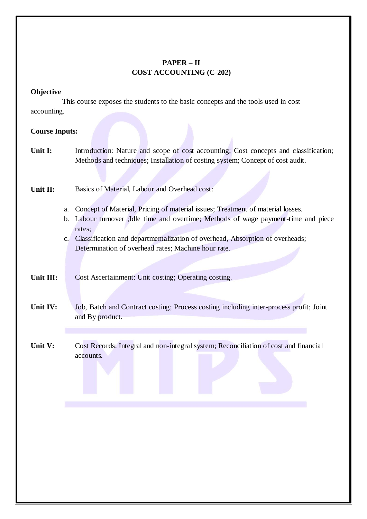# **PAPER – II COST ACCOUNTING (C-202)**

### **Objective**

This course exposes the students to the basic concepts and the tools used in cost accounting.

### **Course Inputs:**

**Unit I:** Introduction: Nature and scope of cost accounting; Cost concepts and classification; Methods and techniques; Installation of costing system; Concept of cost audit.

**Unit II:** Basics of Material, Labour and Overhead cost:

- a. Concept of Material, Pricing of material issues; Treatment of material losses.
- b. Labour turnover ;Idle time and overtime; Methods of wage payment-time and piece rates;
- c. Classification and departmentalization of overhead, Absorption of overheads; Determination of overhead rates; Machine hour rate.

**Unit III:** Cost Ascertainment: Unit costing; Operating costing.

- **Unit IV:** Job, Batch and Contract costing; Process costing including inter-process profit; Joint and By product.
- **Unit V:** Cost Records: Integral and non-integral system; Reconciliation of cost and financial accounts.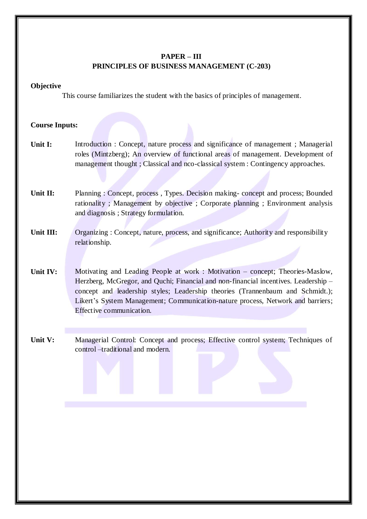# **PAPER – III PRINCIPLES OF BUSINESS MANAGEMENT (C-203)**

#### **Objective**

This course familiarizes the student with the basics of principles of management.

- **Unit I:** Introduction : Concept, nature process and significance of management ; Managerial roles (Mintzberg); An overview of functional areas of management. Development of management thought ; Classical and nco-classical system : Contingency approaches.
- **Unit II:** Planning : Concept, process , Types. Decision making- concept and process; Bounded rationality ; Management by objective ; Corporate planning ; Environment analysis and diagnosis ; Strategy formulation.
- **Unit III:** Organizing : Concept, nature, process, and significance; Authority and responsibility relationship.
- **Unit IV:** Motivating and Leading People at work : Motivation – concept; Theories-Maslow, Herzberg, McGregor, and Quchi; Financial and non-financial incentives. Leadership – concept and leadership styles; Leadership theories (Trannenbaum and Schmidt.); Likert's System Management; Communication-nature process, Network and barriers; Effective communication.
- **Unit V:** Managerial Control: Concept and process; Effective control system; Techniques of control –traditional and modern.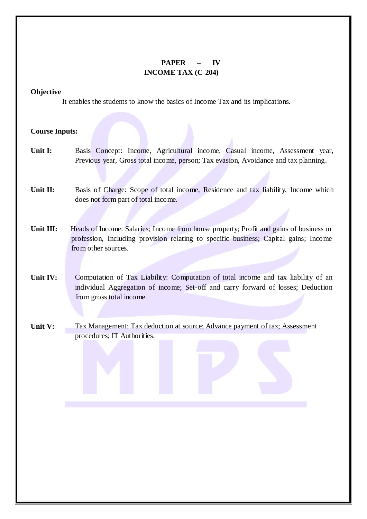# **PAPER – IV INCOME TAX (C-204)**

**Objective**

It enables the students to know the basics of Income Tax and its implications.

- **Unit I:** Basis Concept: Income, Agricultural income, Casual income, Assessment year, Previous year, Gross total income, person; Tax evasion, Avoidance and tax planning.
- **Unit II:** Basis of Charge: Scope of total income, Residence and tax liability, Income which does not form part of total income.
- **Unit III:** Heads of Income: Salaries; Income from house property; Profit and gains of business or profession, Including provision relating to specific business; Capital gains; Income from other sources.
- **Unit IV:** Computation of Tax Liability: Computation of total income and tax liability of an individual Aggregation of income; Set-off and carry forward of losses; Deduction from gross total income.
- **Unit V:** Tax Management: Tax deduction at source; Advance payment of tax; Assessment procedures; IT Authorities.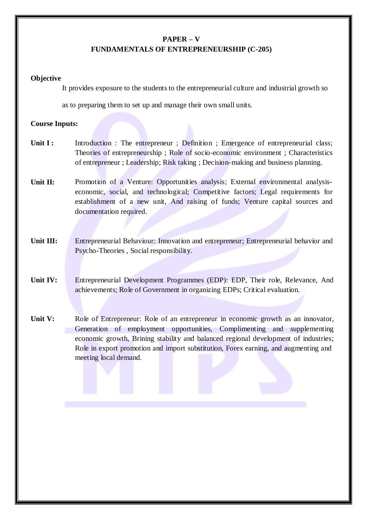#### **PAPER – V**

### **FUNDAMENTALS OF ENTREPRENEURSHIP (C-205)**

#### **Objective**

It provides exposure to the students to the entrepreneurial culture and industrial growth so

as to preparing them to set up and manage their own small units.

- **Unit I :** Introduction : The entrepreneur ; Definition ; Emergence of entrepreneurial class; Theories of entrepreneurship ; Role of socio-economic environment ; Characteristics of entrepreneur ; Leadership; Risk taking ; Decision-making and business planning.
- **Unit II:** Promotion of a Venture: Opportunities analysis; External environmental analysiseconomic, social, and technological; Competitive factors; Legal requirements for establishment of a new unit, And raising of funds; Venture capital sources and documentation required.
- **Unit III:** Entrepreneurial Behaviour: Innovation and entrepreneur; Entrepreneurial behavior and Psycho-Theories , Social responsibility.
- **Unit IV:** Entrepreneurial Development Programmes (EDP): EDP, Their role, Relevance, And achievements; Role of Government in organizing EDPs; Critical evaluation.
- **Unit V:** Role of Entrepreneur: Role of an entrepreneur in economic growth as an innovator, Generation of employment opportunities, Complimenting and supplementing economic growth, Brining stability and balanced regional development of industries; Role in export promotion and import substitution, Forex earning, and augmenting and meeting local demand.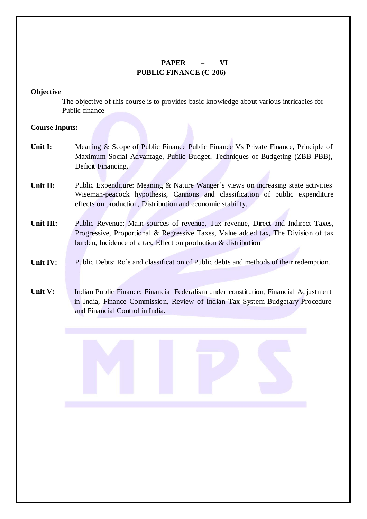# **PAPER – VI PUBLIC FINANCE (C-206)**

#### **Objective**

The objective of this course is to provides basic knowledge about various intricacies for Public finance

### **Course Inputs:**

- **Unit I:** Meaning & Scope of Public Finance Public Finance Vs Private Finance, Principle of Maximum Social Advantage, Public Budget, Techniques of Budgeting (ZBB PBB), Deficit Financing.
- **Unit II:** Public Expenditure: Meaning & Nature Wanger's views on increasing state activities Wiseman-peacock hypothesis, Cannons and classification of public expenditure effects on production, Distribution and economic stability.
- **Unit III:** Public Revenue: Main sources of revenue, Tax revenue, Direct and Indirect Taxes, Progressive, Proportional & Regressive Taxes, Value added tax, The Division of tax burden, Incidence of a tax, Effect on production & distribution

#### **Unit IV:** Public Debts: Role and classification of Public debts and methods of their redemption.

**Unit V:** Indian Public Finance: Financial Federalism under constitution, Financial Adjustment in India, Finance Commission, Review of Indian Tax System Budgetary Procedure and Financial Control in India.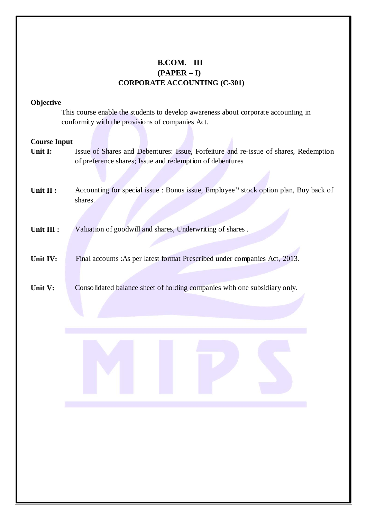# **B.COM. III (PAPER – I) CORPORATE ACCOUNTING (C-301)**

#### **Objective**

This course enable the students to develop awareness about corporate accounting in conformity with the provisions of companies Act.

- **Unit I:** Issue of Shares and Debentures: Issue, Forfeiture and re-issue of shares, Redemption of preference shares; Issue and redemption of debentures
- **Unit II :** Accounting for special issue : Bonus issue, Employee' s stock option plan, Buy back of shares.
- **Unit III :** Valuation of goodwill and shares, Underwriting of shares .
- **Unit IV:** Final accounts :As per latest format Prescribed under companies Act, 2013.
- **Unit V:** Consolidated balance sheet of holding companies with one subsidiary only.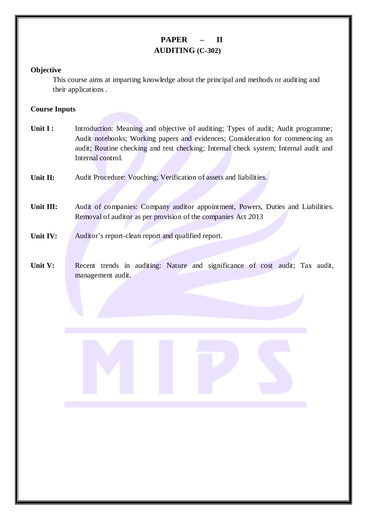# **PAPER – II AUDITING (C-302)**

### **Objective**

This course aims at imparting knowledge about the principal and methods or auditing and their applications .

# **Course Inputs**

**Unit I : Unit II: Unit III: Unit IV:** Introduction: Meaning and objective of auditing; Types of audit; Audit programme; Audit notebooks; Working papers and evidences; Consideration for commencing an audit; Routine checking and test checking; Internal check system; Internal audit and Internal control. Audit Procedure: Vouching; Verification of assets and liabilities. Audit of companies: Company auditor appointment, Powers, Duties and Liabilities. Removal of auditor as per provision of the companies Act 2013 Auditor's report-clean report and qualified report. **Unit V:** Recent trends in auditing: Nature and significance of cost audit; Tax audit, management audit.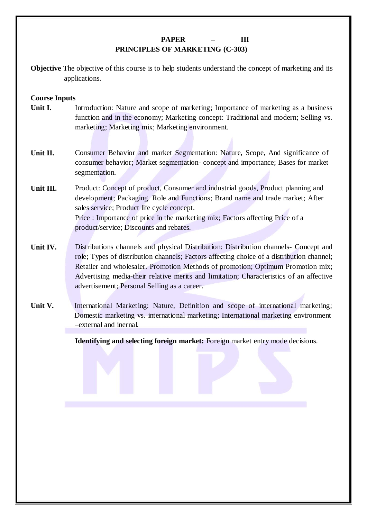# **PAPER – III PRINCIPLES OF MARKETING (C-303)**

**Objective** The objective of this course is to help students understand the concept of marketing and its applications.

# **Course Inputs**

- **Unit I.** Introduction: Nature and scope of marketing; Importance of marketing as a business function and in the economy; Marketing concept: Traditional and modern; Selling vs. marketing; Marketing mix; Marketing environment.
- **Unit II.** Consumer Behavior and market Segmentation: Nature, Scope, And significance of consumer behavior; Market segmentation- concept and importance; Bases for market segmentation.
- **Unit III.** Product: Concept of product, Consumer and industrial goods, Product planning and development; Packaging. Role and Functions; Brand name and trade market; After sales service; Product life cycle concept. Price : Importance of price in the marketing mix; Factors affecting Price of a product/service; Discounts and rebates.
- **Unit IV.** Distributions channels and physical Distribution: Distribution channels- Concept and role; Types of distribution channels; Factors affecting choice of a distribution channel; Retailer and wholesaler. Promotion Methods of promotion; Optimum Promotion mix; Advertising media-their relative merits and limitation; Characteristics of an affective advertisement; Personal Selling as a career.
- **Unit V.** International Marketing: Nature, Definition and scope of international marketing; Domestic marketing vs. international marketing; International marketing environment –external and inernal.

**Identifying and selecting foreign market:** Foreign market entry mode decisions.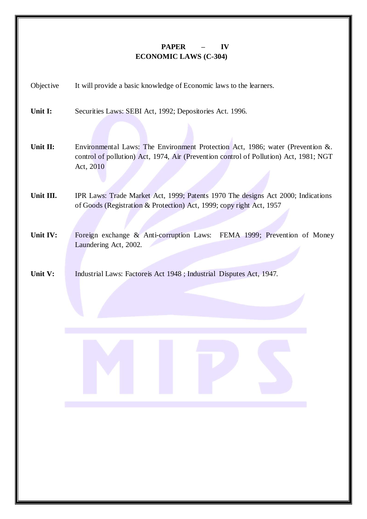# **PAPER – IV ECONOMIC LAWS (C-304)**

| Objective | It will provide a basic knowledge of Economic laws to the learners.                                                                                                                  |
|-----------|--------------------------------------------------------------------------------------------------------------------------------------------------------------------------------------|
| Unit I:   | Securities Laws: SEBI Act, 1992; Depositories Act. 1996.                                                                                                                             |
| Unit II:  | Environmental Laws: The Environment Protection Act, 1986; water (Prevention &.<br>control of pollution) Act, 1974, Air (Prevention control of Pollution) Act, 1981; NGT<br>Act, 2010 |
| Unit III. | IPR Laws: Trade Market Act, 1999; Patents 1970 The designs Act 2000; Indications<br>of Goods (Registration & Protection) Act, 1999; copy right Act, 1957                             |
| Unit IV:  | Foreign exchange & Anti-corruption Laws:<br>FEMA 1999; Prevention of Money<br>Laundering Act, 2002.                                                                                  |
| Unit V:   | Industrial Laws: Factoreis Act 1948 ; Industrial Disputes Act, 1947.                                                                                                                 |
|           |                                                                                                                                                                                      |
|           |                                                                                                                                                                                      |
|           |                                                                                                                                                                                      |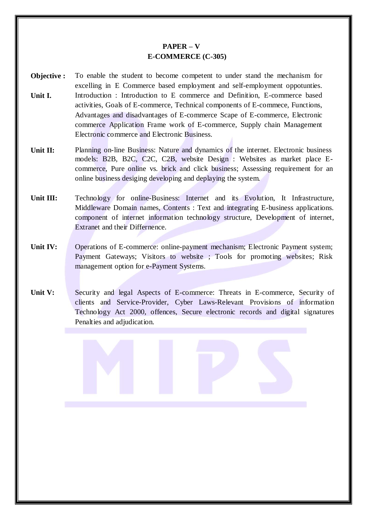# **PAPER – V E-COMMERCE (C-305)**

- **Objective : Unit I.** To enable the student to become competent to under stand the mechanism for excelling in E Commerce based employment and self-employment oppotunties. Introduction : Introduction to E commerce and Definition, E-commerce based activities, Goals of E-commerce, Technical components of E-commece, Functions, Advantages and disadvantages of E-commerce Scape of E-commerce, Electronic commerce Application Frame work of E-commerce, Supply chain Management Electronic commerce and Electronic Business.
- **Unit II:** Planning on-line Business: Nature and dynamics of the internet. Electronic business models: B2B, B2C, C2C, C2B, website Design : Websites as market place Ecommerce, Pure online vs. brick and click business; Assessing requirement for an online business desiging developing and deplaying the system.
- Unit III: Technology for online-Business: Internet and its Evolution, It Infrastructure, Middleware Domain names, Contents : Text and integrating E-business applications. component of internet information technology structure, Development of internet, Extranet and their Differnence.
- **Unit IV:** Operations of E-commerce: online-payment mechanism; Electronic Payment system; Payment Gateways; Visitors to website ; Tools for promoting websites; Risk management option for e-Payment Systems.
- **Unit V:** Security and legal Aspects of E-commerce: Threats in E-commerce, Security of clients and Service-Provider, Cyber Laws-Relevant Provisions of information Technology Act 2000, offences, Secure electronic records and digital signatures Penalties and adjudication.